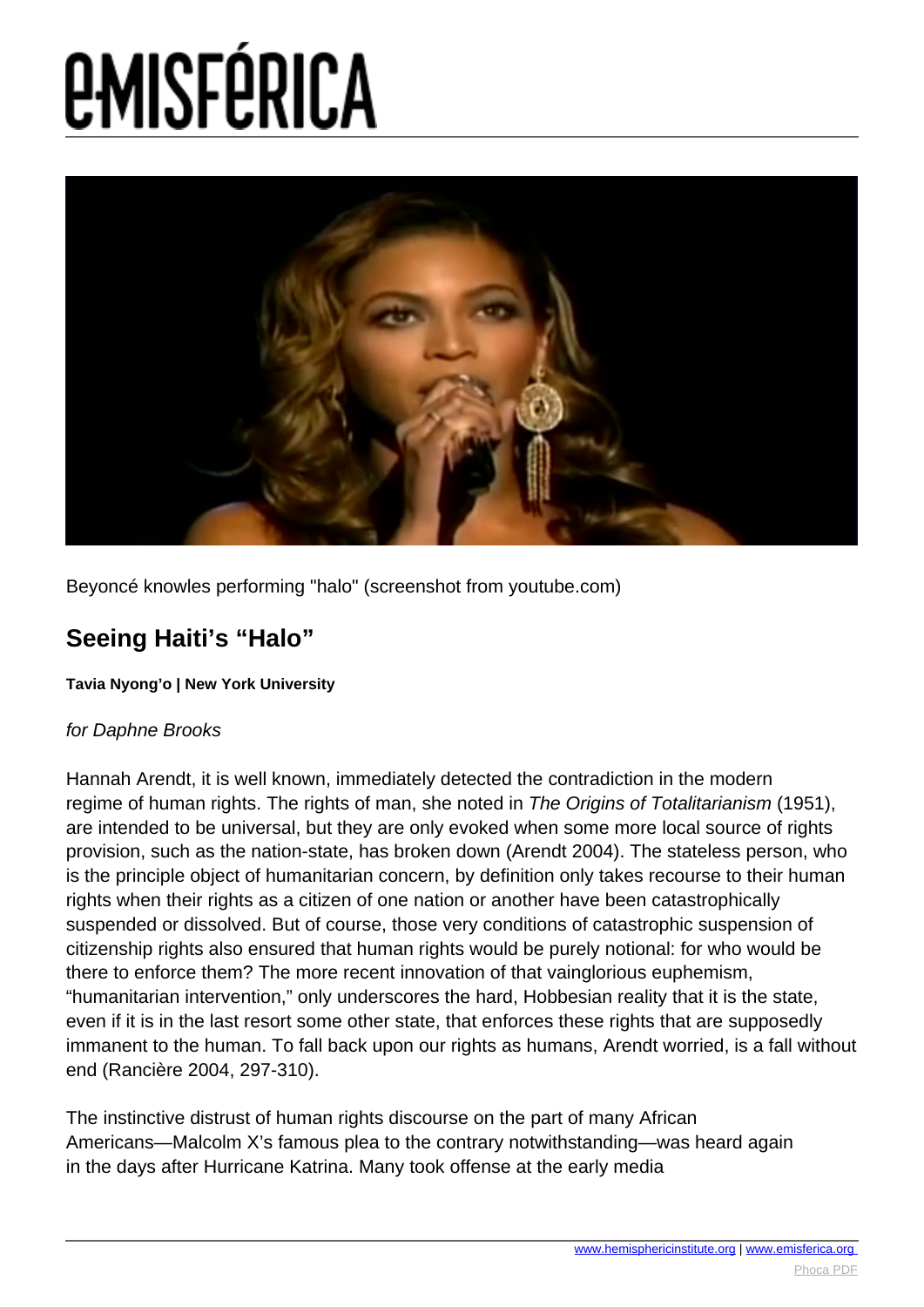# **EMISFÉRICA**



Beyoncé knowles performing "halo" (screenshot from youtube.com)

### **Seeing Haiti's "Halo"**

### **Tavia Nyong'o | New York University**

### for Daphne Brooks

Hannah Arendt, it is well known, immediately detected the contradiction in the modern regime of human rights. The rights of man, she noted in The Origins of Totalitarianism (1951), are intended to be universal, but they are only evoked when some more local source of rights provision, such as the nation-state, has broken down (Arendt 2004). The stateless person, who is the principle object of humanitarian concern, by definition only takes recourse to their human rights when their rights as a citizen of one nation or another have been catastrophically suspended or dissolved. But of course, those very conditions of catastrophic suspension of citizenship rights also ensured that human rights would be purely notional: for who would be there to enforce them? The more recent innovation of that vainglorious euphemism, "humanitarian intervention," only underscores the hard, Hobbesian reality that it is the state, even if it is in the last resort some other state, that enforces these rights that are supposedly immanent to the human. To fall back upon our rights as humans, Arendt worried, is a fall without end (Rancière 2004, 297-310).

The instinctive distrust of human rights discourse on the part of many African Americans—Malcolm X's famous plea to the contrary notwithstanding—was heard again in the days after Hurricane Katrina. Many took offense at the early media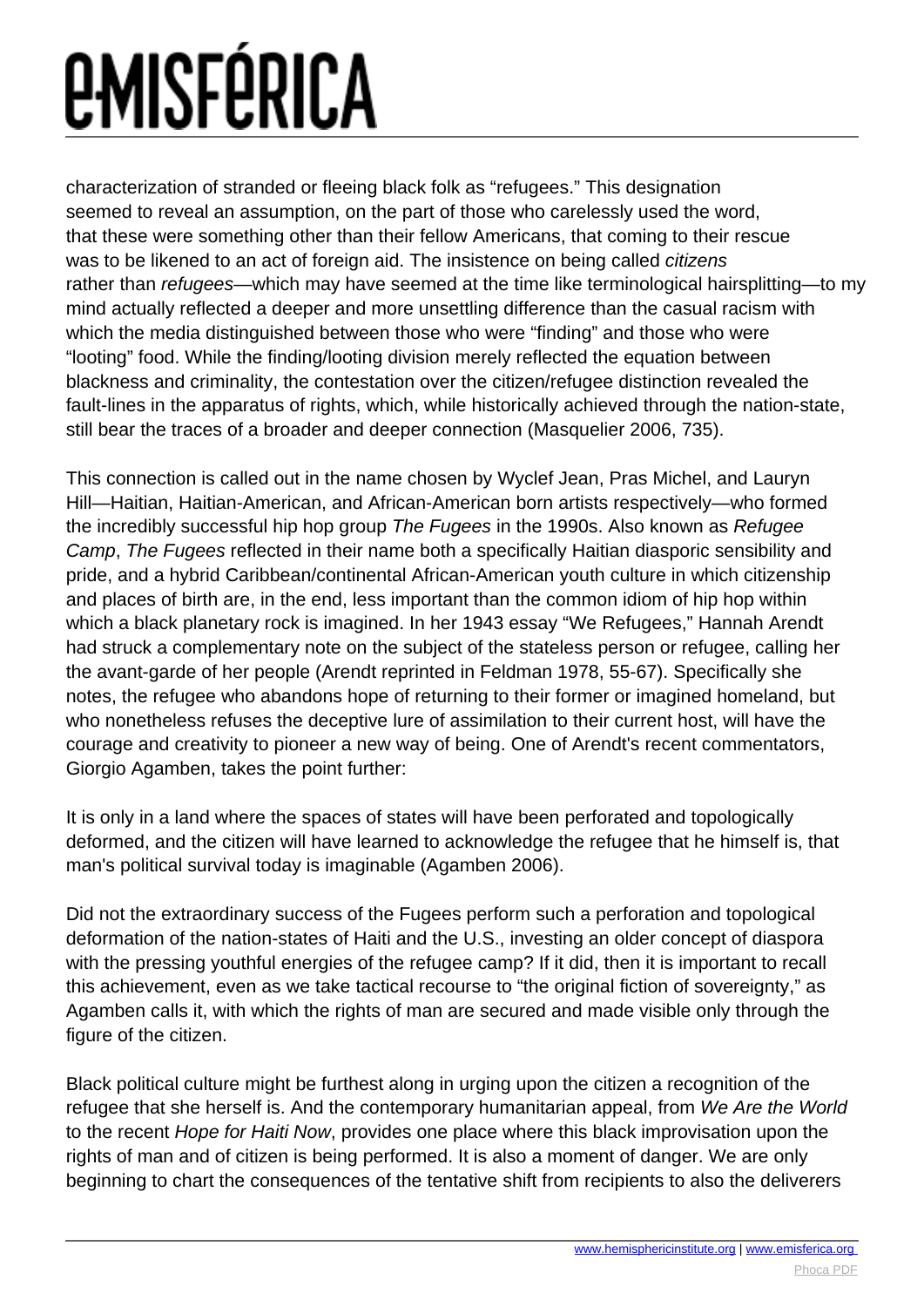## *EMISFÉRICA*

characterization of stranded or fleeing black folk as "refugees." This designation seemed to reveal an assumption, on the part of those who carelessly used the word, that these were something other than their fellow Americans, that coming to their rescue was to be likened to an act of foreign aid. The insistence on being called *citizens* rather than *refugees*—which may have seemed at the time like terminological hairsplitting—to my mind actually reflected a deeper and more unsettling difference than the casual racism with which the media distinguished between those who were "finding" and those who were "looting" food. While the finding/looting division merely reflected the equation between blackness and criminality, the contestation over the citizen/refugee distinction revealed the fault-lines in the apparatus of rights, which, while historically achieved through the nation-state, still bear the traces of a broader and deeper connection (Masquelier 2006, 735).

This connection is called out in the name chosen by Wyclef Jean, Pras Michel, and Lauryn Hill—Haitian, Haitian-American, and African-American born artists respectively—who formed the incredibly successful hip hop group The Fugees in the 1990s. Also known as Refugee Camp, The Fugees reflected in their name both a specifically Haitian diasporic sensibility and pride, and a hybrid Caribbean/continental African-American youth culture in which citizenship and places of birth are, in the end, less important than the common idiom of hip hop within which a black planetary rock is imagined. In her 1943 essay "We Refugees," Hannah Arendt had struck a complementary note on the subject of the stateless person or refugee, calling her the avant-garde of her people (Arendt reprinted in Feldman 1978, 55-67). Specifically she notes, the refugee who abandons hope of returning to their former or imagined homeland, but who nonetheless refuses the deceptive lure of assimilation to their current host, will have the courage and creativity to pioneer a new way of being. One of Arendt's recent commentators, Giorgio Agamben, takes the point further:

It is only in a land where the spaces of states will have been perforated and topologically deformed, and the citizen will have learned to acknowledge the refugee that he himself is, that man's political survival today is imaginable (Agamben 2006).

Did not the extraordinary success of the Fugees perform such a perforation and topological deformation of the nation-states of Haiti and the U.S., investing an older concept of diaspora with the pressing youthful energies of the refugee camp? If it did, then it is important to recall this achievement, even as we take tactical recourse to "the original fiction of sovereignty," as Agamben calls it, with which the rights of man are secured and made visible only through the figure of the citizen.

Black political culture might be furthest along in urging upon the citizen a recognition of the refugee that she herself is. And the contemporary humanitarian appeal, from We Are the World to the recent Hope for Haiti Now, provides one place where this black improvisation upon the rights of man and of citizen is being performed. It is also a moment of danger. We are only beginning to chart the consequences of the tentative shift from recipients to also the deliverers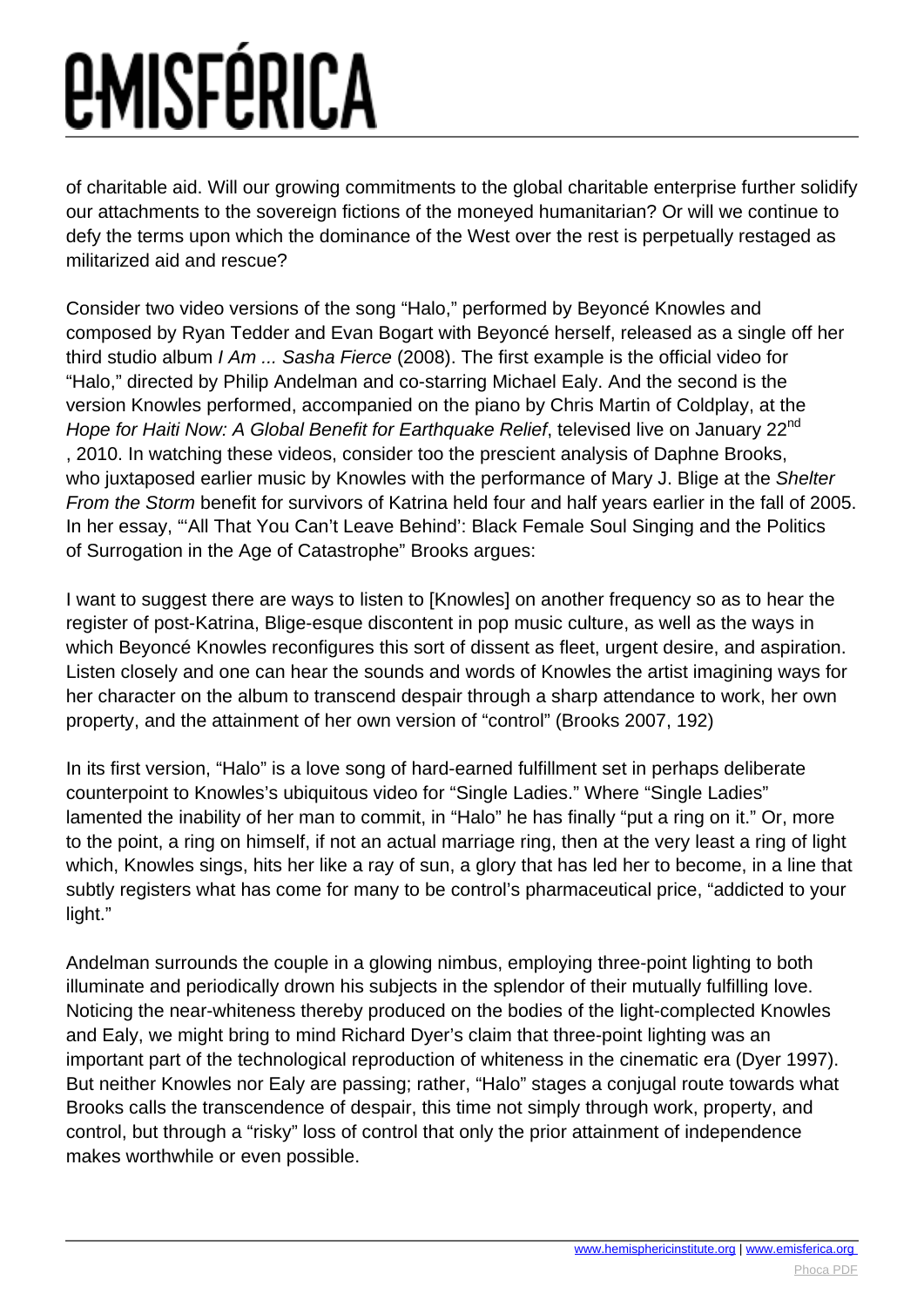### *<u>EMISFÉRICA</u>*

of charitable aid. Will our growing commitments to the global charitable enterprise further solidify our attachments to the sovereign fictions of the moneyed humanitarian? Or will we continue to defy the terms upon which the dominance of the West over the rest is perpetually restaged as militarized aid and rescue?

Consider two video versions of the song "Halo," performed by Beyoncé Knowles and composed by Ryan Tedder and Evan Bogart with Beyoncé herself, released as a single off her third studio album  $I Am$  ... Sasha Fierce (2008). The first example is the official video for "Halo," directed by Philip Andelman and co-starring Michael Ealy. And the second is the version Knowles performed, accompanied on the piano by Chris Martin of Coldplay, at the Hope for Haiti Now: A Global Benefit for Earthquake Relief, televised live on January 22<sup>nd</sup> , 2010. In watching these videos, consider too the prescient analysis of Daphne Brooks, who juxtaposed earlier music by Knowles with the performance of Mary J. Blige at the Shelter From the Storm benefit for survivors of Katrina held four and half years earlier in the fall of 2005. In her essay, "'All That You Can't Leave Behind': Black Female Soul Singing and the Politics of Surrogation in the Age of Catastrophe" Brooks argues:

I want to suggest there are ways to listen to [Knowles] on another frequency so as to hear the register of post-Katrina, Blige-esque discontent in pop music culture, as well as the ways in which Beyoncé Knowles reconfigures this sort of dissent as fleet, urgent desire, and aspiration. Listen closely and one can hear the sounds and words of Knowles the artist imagining ways for her character on the album to transcend despair through a sharp attendance to work, her own property, and the attainment of her own version of "control" (Brooks 2007, 192)

In its first version, "Halo" is a love song of hard-earned fulfillment set in perhaps deliberate counterpoint to Knowles's ubiquitous video for "Single Ladies." Where "Single Ladies" lamented the inability of her man to commit, in "Halo" he has finally "put a ring on it." Or, more to the point, a ring on himself, if not an actual marriage ring, then at the very least a ring of light which, Knowles sings, hits her like a ray of sun, a glory that has led her to become, in a line that subtly registers what has come for many to be control's pharmaceutical price, "addicted to your light."

Andelman surrounds the couple in a glowing nimbus, employing three-point lighting to both illuminate and periodically drown his subjects in the splendor of their mutually fulfilling love. Noticing the near-whiteness thereby produced on the bodies of the light-complected Knowles and Ealy, we might bring to mind Richard Dyer's claim that three-point lighting was an important part of the technological reproduction of whiteness in the cinematic era (Dyer 1997). But neither Knowles nor Ealy are passing; rather, "Halo" stages a conjugal route towards what Brooks calls the transcendence of despair, this time not simply through work, property, and control, but through a "risky" loss of control that only the prior attainment of independence makes worthwhile or even possible.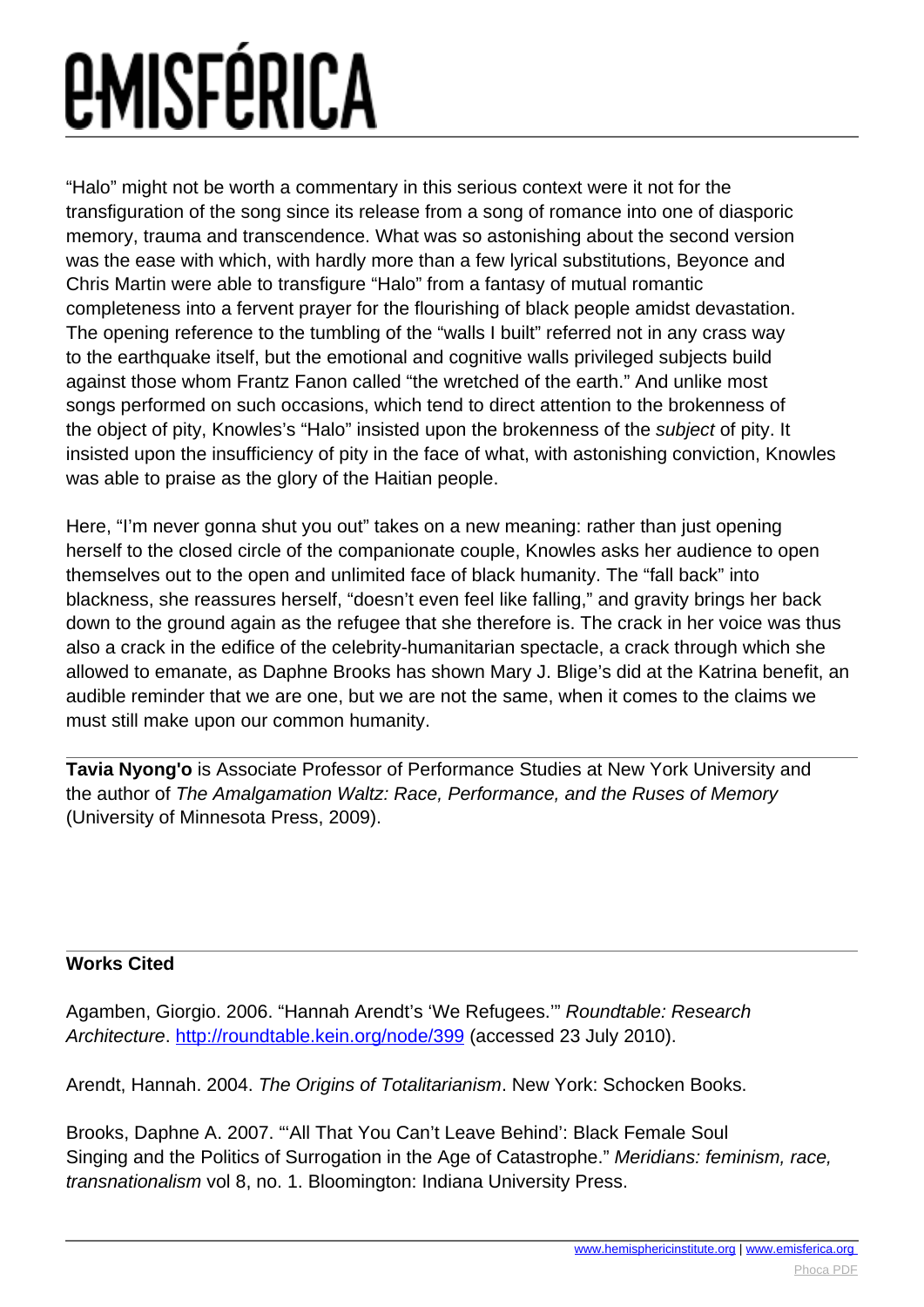## *<u>EMISFÉRICA</u>*

"Halo" might not be worth a commentary in this serious context were it not for the transfiguration of the song since its release from a song of romance into one of diasporic memory, trauma and transcendence. What was so astonishing about the second version was the ease with which, with hardly more than a few lyrical substitutions, Beyonce and Chris Martin were able to transfigure "Halo" from a fantasy of mutual romantic completeness into a fervent prayer for the flourishing of black people amidst devastation. The opening reference to the tumbling of the "walls I built" referred not in any crass way to the earthquake itself, but the emotional and cognitive walls privileged subjects build against those whom Frantz Fanon called "the wretched of the earth." And unlike most songs performed on such occasions, which tend to direct attention to the brokenness of the object of pity, Knowles's "Halo" insisted upon the brokenness of the subject of pity. It insisted upon the insufficiency of pity in the face of what, with astonishing conviction, Knowles was able to praise as the glory of the Haitian people.

Here, "I'm never gonna shut you out" takes on a new meaning: rather than just opening herself to the closed circle of the companionate couple, Knowles asks her audience to open themselves out to the open and unlimited face of black humanity. The "fall back" into blackness, she reassures herself, "doesn't even feel like falling," and gravity brings her back down to the ground again as the refugee that she therefore is. The crack in her voice was thus also a crack in the edifice of the celebrity-humanitarian spectacle, a crack through which she allowed to emanate, as Daphne Brooks has shown Mary J. Blige's did at the Katrina benefit, an audible reminder that we are one, but we are not the same, when it comes to the claims we must still make upon our common humanity.

**Tavia Nyong'o** is Associate Professor of Performance Studies at New York University and the author of The Amalgamation Waltz: Race, Performance, and the Ruses of Memory (University of Minnesota Press, 2009).

### **Works Cited**

Agamben, Giorgio. 2006. "Hannah Arendt's 'We Refugees.'" Roundtable: Research Architecture.<http://roundtable.kein.org/node/399> (accessed 23 July 2010).

Arendt, Hannah. 2004. The Origins of Totalitarianism. New York: Schocken Books.

Brooks, Daphne A. 2007. "'All That You Can't Leave Behind': Black Female Soul Singing and the Politics of Surrogation in the Age of Catastrophe." Meridians: feminism, race, transnationalism vol 8, no. 1. Bloomington: Indiana University Press.